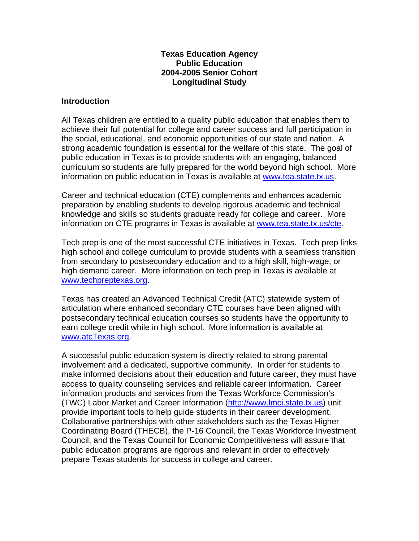### **Texas Education Agency Public Education 2004-2005 Senior Cohort Longitudinal Study**

### **Introduction**

All Texas children are entitled to a quality public education that enables them to achieve their full potential for college and career success and full participation in the social, educational, and economic opportunities of our state and nation. A strong academic foundation is essential for the welfare of this state. The goal of public education in Texas is to provide students with an engaging, balanced curriculum so students are fully prepared for the world beyond high school. More information on public education in Texas is available at [www.tea.state.tx.us](http://www.tea.state.tx.us/).

Career and technical education (CTE) complements and enhances academic preparation by enabling students to develop rigorous academic and technical knowledge and skills so students graduate ready for college and career. More information on CTE programs in Texas is available at [www.tea.state.tx.us/cte.](http://www.tea.state.tx.us/cte)

Tech prep is one of the most successful CTE initiatives in Texas. Tech prep links high school and college curriculum to provide students with a seamless transition from secondary to postsecondary education and to a high skill, high-wage, or high demand career. More information on tech prep in Texas is available at [www.techpreptexas.org](http://www.techpreptexas.org/).

Texas has created an Advanced Technical Credit (ATC) statewide system of articulation where enhanced secondary CTE courses have been aligned with postsecondary technical education courses so students have the opportunity to earn college credit while in high school. More information is available at [www.atcTexas.org.](http://www.atctexas.org/)

A successful public education system is directly related to strong parental involvement and a dedicated, supportive community. In order for students to make informed decisions about their education and future career, they must have access to quality counseling services and reliable career information. Career information products and services from the Texas Workforce Commission's (TWC) Labor Market and Career Information [\(http://www.lmci.state.tx.us\)](http://www.lmci.state.tx.us/) unit provide important tools to help guide students in their career development. Collaborative partnerships with other stakeholders such as the Texas Higher Coordinating Board (THECB), the P-16 Council, the Texas Workforce Investment Council, and the Texas Council for Economic Competitiveness will assure that public education programs are rigorous and relevant in order to effectively prepare Texas students for success in college and career.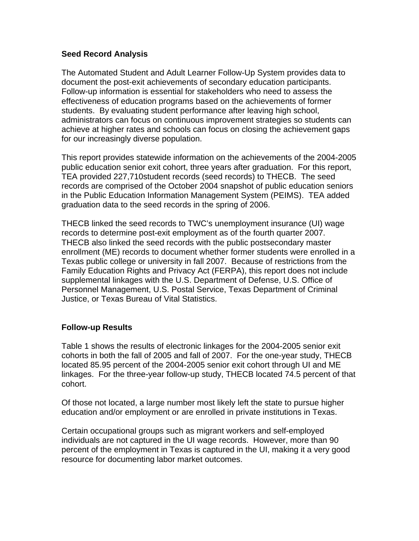### **Seed Record Analysis**

The Automated Student and Adult Learner Follow-Up System provides data to document the post-exit achievements of secondary education participants. Follow-up information is essential for stakeholders who need to assess the effectiveness of education programs based on the achievements of former students. By evaluating student performance after leaving high school, administrators can focus on continuous improvement strategies so students can achieve at higher rates and schools can focus on closing the achievement gaps for our increasingly diverse population.

This report provides statewide information on the achievements of the 2004-2005 public education senior exit cohort, three years after graduation. For this report, TEA provided 227,710student records (seed records) to THECB. The seed records are comprised of the October 2004 snapshot of public education seniors in the Public Education Information Management System (PEIMS). TEA added graduation data to the seed records in the spring of 2006.

THECB linked the seed records to TWC's unemployment insurance (UI) wage records to determine post-exit employment as of the fourth quarter 2007. THECB also linked the seed records with the public postsecondary master enrollment (ME) records to document whether former students were enrolled in a Texas public college or university in fall 2007. Because of restrictions from the Family Education Rights and Privacy Act (FERPA), this report does not include supplemental linkages with the U.S. Department of Defense, U.S. Office of Personnel Management, U.S. Postal Service, Texas Department of Criminal Justice, or Texas Bureau of Vital Statistics.

### **Follow-up Results**

Table 1 shows the results of electronic linkages for the 2004-2005 senior exit cohorts in both the fall of 2005 and fall of 2007. For the one-year study, THECB located 85.95 percent of the 2004-2005 senior exit cohort through UI and ME linkages. For the three-year follow-up study, THECB located 74.5 percent of that cohort.

Of those not located, a large number most likely left the state to pursue higher education and/or employment or are enrolled in private institutions in Texas.

Certain occupational groups such as migrant workers and self-employed individuals are not captured in the UI wage records. However, more than 90 percent of the employment in Texas is captured in the UI, making it a very good resource for documenting labor market outcomes.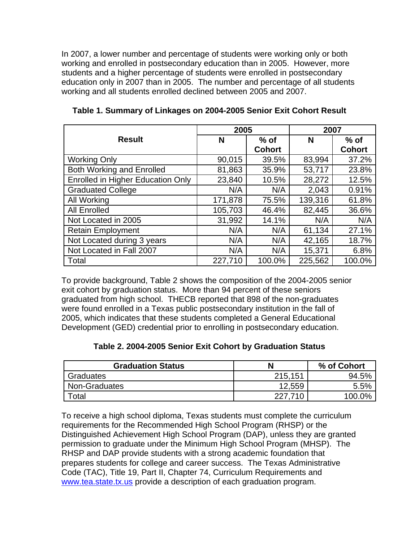In 2007, a lower number and percentage of students were working only or both working and enrolled in postsecondary education than in 2005. However, more students and a higher percentage of students were enrolled in postsecondary education only in 2007 than in 2005. The number and percentage of all students working and all students enrolled declined between 2005 and 2007.

|                                          | 2005    |               | 2007    |               |
|------------------------------------------|---------|---------------|---------|---------------|
| <b>Result</b>                            | N       | $%$ of        | N       | $%$ of        |
|                                          |         | <b>Cohort</b> |         | <b>Cohort</b> |
| <b>Working Only</b>                      | 90,015  | 39.5%         | 83,994  | 37.2%         |
| <b>Both Working and Enrolled</b>         | 81,863  | 35.9%         | 53,717  | 23.8%         |
| <b>Enrolled in Higher Education Only</b> | 23,840  | 10.5%         | 28,272  | 12.5%         |
| <b>Graduated College</b>                 | N/A     | N/A           | 2,043   | 0.91%         |
| All Working                              | 171,878 | 75.5%         | 139,316 | 61.8%         |
| <b>All Enrolled</b>                      | 105,703 | 46.4%         | 82,445  | 36.6%         |
| Not Located in 2005                      | 31,992  | 14.1%         | N/A     | N/A           |
| <b>Retain Employment</b>                 | N/A     | N/A           | 61,134  | 27.1%         |
| Not Located during 3 years               | N/A     | N/A           | 42,165  | 18.7%         |
| Not Located in Fall 2007                 | N/A     | N/A           | 15,371  | 6.8%          |
| Total                                    | 227,710 | 100.0%        | 225,562 | 100.0%        |

**Table 1. Summary of Linkages on 2004-2005 Senior Exit Cohort Result**

To provide background, Table 2 shows the composition of the 2004-2005 senior exit cohort by graduation status. More than 94 percent of these seniors graduated from high school. THECB reported that 898 of the non-graduates were found enrolled in a Texas public postsecondary institution in the fall of 2005, which indicates that these students completed a General Educational Development (GED) credential prior to enrolling in postsecondary education.

| Table 2. 2004-2005 Senior Exit Cohort by Graduation Status |  |
|------------------------------------------------------------|--|
|------------------------------------------------------------|--|

| <b>Graduation Status</b> |         | % of Cohort |
|--------------------------|---------|-------------|
| Graduates                | 215,151 | 94.5%       |
| Non-Graduates            | 12,559  | 5.5%        |
| Total                    | 227,710 | 100.0%      |

To receive a high school diploma, Texas students must complete the curriculum requirements for the Recommended High School Program (RHSP) or the Distinguished Achievement High School Program (DAP), unless they are granted permission to graduate under the Minimum High School Program (MHSP). The RHSP and DAP provide students with a strong academic foundation that prepares students for college and career success. The Texas Administrative Code (TAC), Title 19, Part II, Chapter 74, Curriculum Requirements and [www.tea.state.tx.us](http://www.tea.state.tx.us/) provide a description of each graduation program.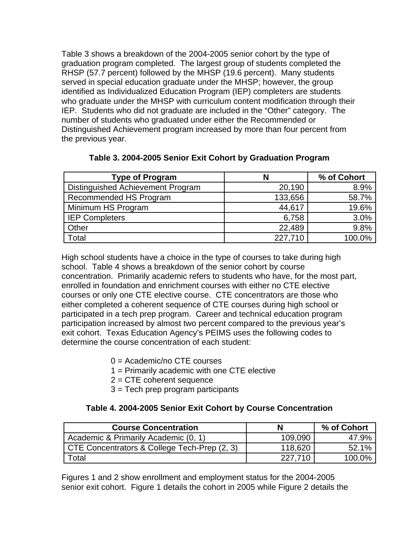Table 3 shows a breakdown of the 2004-2005 senior cohort by the type of graduation program completed. The largest group of students completed the RHSP (57.7 percent) followed by the MHSP (19.6 percent). Many students served in special education graduate under the MHSP; however, the group identified as Individualized Education Program (IEP) completers are students who graduate under the MHSP with curriculum content modification through their IEP. Students who did not graduate are included in the "Other" category. The number of students who graduated under either the Recommended or Distinguished Achievement program increased by more than four percent from the previous year.

| <b>Type of Program</b>            | N       | % of Cohort |
|-----------------------------------|---------|-------------|
| Distinguished Achievement Program | 20,190  | 8.9%        |
| Recommended HS Program            | 133,656 | 58.7%       |
| Minimum HS Program                | 44,617  | 19.6%       |
| <b>IEP Completers</b>             | 6,758   | 3.0%        |
| Other                             | 22,489  | 9.8%        |
| Total                             | 227,710 | 100.0%      |

### **Table 3. 2004-2005 Senior Exit Cohort by Graduation Program**

High school students have a choice in the type of courses to take during high school. Table 4 shows a breakdown of the senior cohort by course concentration. Primarily academic refers to students who have, for the most part, enrolled in foundation and enrichment courses with either no CTE elective courses or only one CTE elective course. CTE concentrators are those who either completed a coherent sequence of CTE courses during high school or participated in a tech prep program. Career and technical education program participation increased by almost two percent compared to the previous year's exit cohort. Texas Education Agency's PEIMS uses the following codes to determine the course concentration of each student:

- 0 = Academic/no CTE courses
- 1 = Primarily academic with one CTE elective
- 2 = CTE coherent sequence
- 3 = Tech prep program participants

### **Table 4. 2004-2005 Senior Exit Cohort by Course Concentration**

| <b>Course Concentration</b>                  | N       | % of Cohort |
|----------------------------------------------|---------|-------------|
| Academic & Primarily Academic (0, 1)         | 109,090 | 47.9%       |
| CTE Concentrators & College Tech-Prep (2, 3) | 118,620 | 52.1%       |
| Total                                        | 227.710 | 100.0%      |

Figures 1 and 2 show enrollment and employment status for the 2004-2005 senior exit cohort. Figure 1 details the cohort in 2005 while Figure 2 details the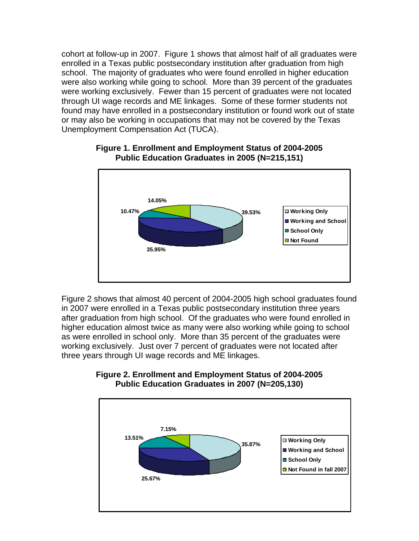cohort at follow-up in 2007. Figure 1 shows that almost half of all graduates were enrolled in a Texas public postsecondary institution after graduation from high school. The majority of graduates who were found enrolled in higher education were also working while going to school. More than 39 percent of the graduates were working exclusively. Fewer than 15 percent of graduates were not located through UI wage records and ME linkages. Some of these former students not found may have enrolled in a postsecondary institution or found work out of state or may also be working in occupations that may not be covered by the Texas Unemployment Compensation Act (TUCA).



### **Figure 1. Enrollment and Employment Status of 2004-2005 Public Education Graduates in 2005 (N=215,151)**

Figure 2 shows that almost 40 percent of 2004-2005 high school graduates found in 2007 were enrolled in a Texas public postsecondary institution three years after graduation from high school. Of the graduates who were found enrolled in higher education almost twice as many were also working while going to school as were enrolled in school only. More than 35 percent of the graduates were working exclusively. Just over 7 percent of graduates were not located after three years through UI wage records and ME linkages.



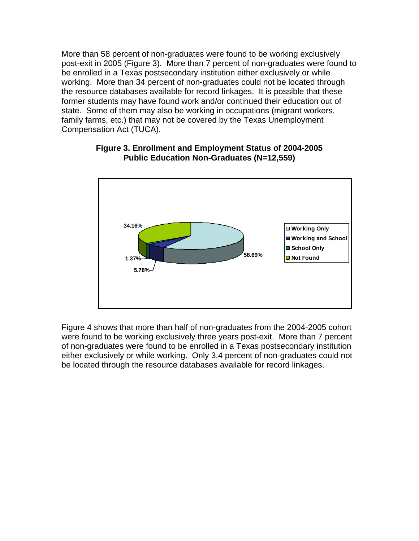More than 58 percent of non-graduates were found to be working exclusively post-exit in 2005 (Figure 3). More than 7 percent of non-graduates were found to be enrolled in a Texas postsecondary institution either exclusively or while working. More than 34 percent of non-graduates could not be located through the resource databases available for record linkages. It is possible that these former students may have found work and/or continued their education out of state. Some of them may also be working in occupations (migrant workers, family farms, etc.) that may not be covered by the Texas Unemployment Compensation Act (TUCA).



### **Figure 3. Enrollment and Employment Status of 2004-2005 Public Education Non-Graduates (N=12,559)**

Figure 4 shows that more than half of non-graduates from the 2004-2005 cohort were found to be working exclusively three years post-exit. More than 7 percent of non-graduates were found to be enrolled in a Texas postsecondary institution either exclusively or while working. Only 3.4 percent of non-graduates could not be located through the resource databases available for record linkages.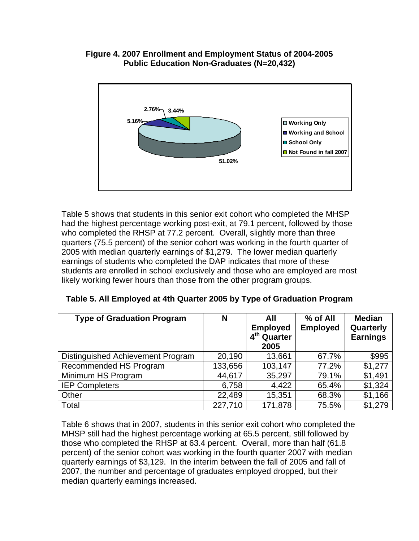### **Figure 4. 2007 Enrollment and Employment Status of 2004-2005 Public Education Non-Graduates (N=20,432)**



Table 5 shows that students in this senior exit cohort who completed the MHSP had the highest percentage working post-exit, at 79.1 percent, followed by those who completed the RHSP at 77.2 percent. Overall, slightly more than three quarters (75.5 percent) of the senior cohort was working in the fourth quarter of 2005 with median quarterly earnings of \$1,279. The lower median quarterly earnings of students who completed the DAP indicates that more of these students are enrolled in school exclusively and those who are employed are most likely working fewer hours than those from the other program groups.

| <b>Type of Graduation Program</b> | N       | All<br><b>Employed</b><br>4 <sup>th</sup> Quarter<br>2005 | % of All<br><b>Employed</b> | <b>Median</b><br>Quarterly<br><b>Earnings</b> |
|-----------------------------------|---------|-----------------------------------------------------------|-----------------------------|-----------------------------------------------|
| Distinguished Achievement Program | 20,190  | 13,661                                                    | 67.7%                       | \$995                                         |
| Recommended HS Program            | 133,656 | 103,147                                                   | 77.2%                       | \$1,277                                       |
| Minimum HS Program                | 44,617  | 35,297                                                    | 79.1%                       | \$1,491                                       |
| <b>IEP Completers</b>             | 6,758   | 4,422                                                     | 65.4%                       | \$1,324                                       |
| Other                             | 22,489  | 15,351                                                    | 68.3%                       | \$1,166                                       |
| Total                             | 227,710 | 171,878                                                   | 75.5%                       | \$1,279                                       |

|  | Table 5. All Employed at 4th Quarter 2005 by Type of Graduation Program |
|--|-------------------------------------------------------------------------|
|  |                                                                         |

Table 6 shows that in 2007, students in this senior exit cohort who completed the MHSP still had the highest percentage working at 65.5 percent, still followed by those who completed the RHSP at 63.4 percent. Overall, more than half (61.8 percent) of the senior cohort was working in the fourth quarter 2007 with median quarterly earnings of \$3,129. In the interim between the fall of 2005 and fall of 2007, the number and percentage of graduates employed dropped, but their median quarterly earnings increased.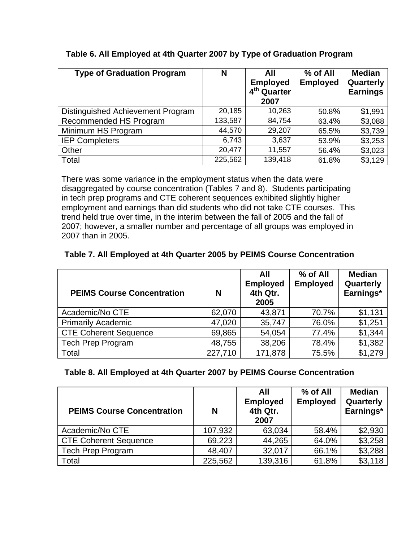| <b>Type of Graduation Program</b> | N       | All<br><b>Employed</b><br>4 <sup>th</sup> Quarter | % of All<br><b>Employed</b> | <b>Median</b><br>Quarterly<br><b>Earnings</b> |
|-----------------------------------|---------|---------------------------------------------------|-----------------------------|-----------------------------------------------|
|                                   |         | 2007                                              |                             |                                               |
| Distinguished Achievement Program | 20,185  | 10,263                                            | 50.8%                       | \$1,991                                       |
| Recommended HS Program            | 133,587 | 84,754                                            | 63.4%                       | \$3,088                                       |
| Minimum HS Program                | 44,570  | 29,207                                            | 65.5%                       | \$3,739                                       |
| <b>IEP Completers</b>             | 6,743   | 3,637                                             | 53.9%                       | \$3,253                                       |
| Other                             | 20,477  | 11,557                                            | 56.4%                       | \$3,023                                       |
| Total                             | 225,562 | 139,418                                           | 61.8%                       | \$3,129                                       |

## **Table 6. All Employed at 4th Quarter 2007 by Type of Graduation Program**

There was some variance in the employment status when the data were disaggregated by course concentration (Tables 7 and 8). Students participating in tech prep programs and CTE coherent sequences exhibited slightly higher employment and earnings than did students who did not take CTE courses. This trend held true over time, in the interim between the fall of 2005 and the fall of 2007; however, a smaller number and percentage of all groups was employed in 2007 than in 2005.

# **Table 7. All Employed at 4th Quarter 2005 by PEIMS Course Concentration**

| <b>PEIMS Course Concentration</b> | N       | All<br><b>Employed</b><br>4th Qtr.<br>2005 | % of All<br><b>Employed</b> | <b>Median</b><br>Quarterly<br>Earnings* |
|-----------------------------------|---------|--------------------------------------------|-----------------------------|-----------------------------------------|
| Academic/No CTE                   | 62,070  | 43,871                                     | 70.7%                       | \$1,131                                 |
| <b>Primarily Academic</b>         | 47,020  | 35,747                                     | 76.0%                       | \$1,251                                 |
| CTE Coherent Sequence             | 69,865  | 54,054                                     | 77.4%                       | \$1,344                                 |
| <b>Tech Prep Program</b>          | 48,755  | 38,206                                     | 78.4%                       | \$1,382                                 |
| Total                             | 227,710 | 171,878                                    | 75.5%                       | \$1,279                                 |

### **Table 8. All Employed at 4th Quarter 2007 by PEIMS Course Concentration**

| <b>PEIMS Course Concentration</b> | N       | All<br><b>Employed</b><br>4th Qtr.<br>2007 | % of All<br><b>Employed</b> | <b>Median</b><br>Quarterly<br>Earnings* |
|-----------------------------------|---------|--------------------------------------------|-----------------------------|-----------------------------------------|
| Academic/No CTE                   | 107,932 | 63,034                                     | 58.4%                       | \$2,930                                 |
| CTE Coherent Sequence             | 69,223  | 44,265                                     | 64.0%                       | \$3,258                                 |
| <b>Tech Prep Program</b>          | 48,407  | 32,017                                     | 66.1%                       | \$3,288                                 |
| Total                             | 225,562 | 139,316                                    | 61.8%                       | \$3,118                                 |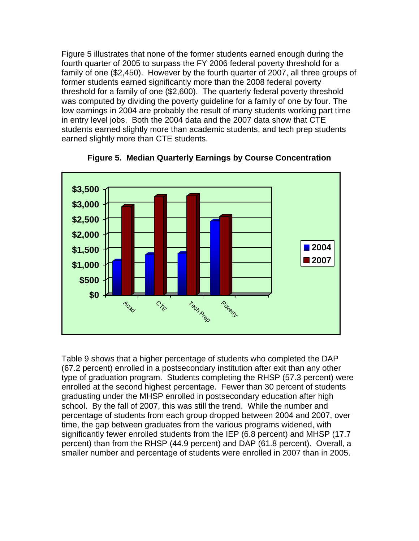Figure 5 illustrates that none of the former students earned enough during the fourth quarter of 2005 to surpass the FY 2006 federal poverty threshold for a family of one (\$2,450). However by the fourth quarter of 2007, all three groups of former students earned significantly more than the 2008 federal poverty threshold for a family of one (\$2,600). The quarterly federal poverty threshold was computed by dividing the poverty guideline for a family of one by four. The low earnings in 2004 are probably the result of many students working part time in entry level jobs. Both the 2004 data and the 2007 data show that CTE students earned slightly more than academic students, and tech prep students earned slightly more than CTE students.



**Figure 5. Median Quarterly Earnings by Course Concentration**

Table 9 shows that a higher percentage of students who completed the DAP (67.2 percent) enrolled in a postsecondary institution after exit than any other type of graduation program. Students completing the RHSP (57.3 percent) were enrolled at the second highest percentage. Fewer than 30 percent of students graduating under the MHSP enrolled in postsecondary education after high school. By the fall of 2007, this was still the trend. While the number and percentage of students from each group dropped between 2004 and 2007, over time, the gap between graduates from the various programs widened, with significantly fewer enrolled students from the IEP (6.8 percent) and MHSP (17.7 percent) than from the RHSP (44.9 percent) and DAP (61.8 percent). Overall, a smaller number and percentage of students were enrolled in 2007 than in 2005.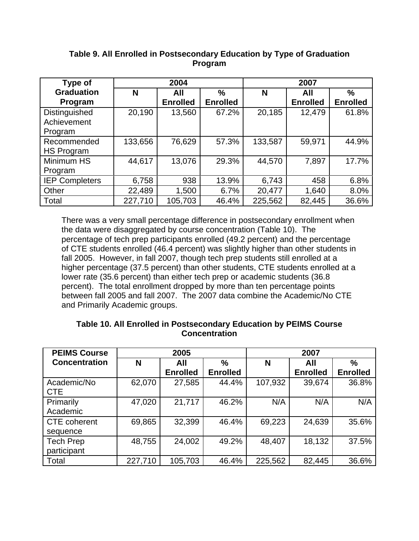| <b>Type of</b>                          |         | 2004            |                 |         | 2007            |                 |
|-----------------------------------------|---------|-----------------|-----------------|---------|-----------------|-----------------|
| <b>Graduation</b>                       | N       | All             | $\frac{9}{6}$   | N       | All             | $\frac{0}{0}$   |
| Program                                 |         | <b>Enrolled</b> | <b>Enrolled</b> |         | <b>Enrolled</b> | <b>Enrolled</b> |
| Distinguished<br>Achievement<br>Program | 20,190  | 13,560          | 67.2%           | 20,185  | 12,479          | 61.8%           |
| Recommended<br>HS Program               | 133,656 | 76,629          | 57.3%           | 133,587 | 59,971          | 44.9%           |
| Minimum HS<br>Program                   | 44,617  | 13,076          | 29.3%           | 44,570  | 7,897           | 17.7%           |
| <b>IEP Completers</b>                   | 6,758   | 938             | 13.9%           | 6,743   | 458             | 6.8%            |
| Other                                   | 22,489  | 1,500           | 6.7%            | 20,477  | 1,640           | 8.0%            |
| Total                                   | 227,710 | 105,703         | 46.4%           | 225,562 | 82,445          | 36.6%           |

## **Table 9. All Enrolled in Postsecondary Education by Type of Graduation Program**

There was a very small percentage difference in postsecondary enrollment when the data were disaggregated by course concentration (Table 10). The percentage of tech prep participants enrolled (49.2 percent) and the percentage of CTE students enrolled (46.4 percent) was slightly higher than other students in fall 2005. However, in fall 2007, though tech prep students still enrolled at a higher percentage (37.5 percent) than other students, CTE students enrolled at a lower rate (35.6 percent) than either tech prep or academic students (36.8 percent). The total enrollment dropped by more than ten percentage points between fall 2005 and fall 2007. The 2007 data combine the Academic/No CTE and Primarily Academic groups.

### **Table 10. All Enrolled in Postsecondary Education by PEIMS Course Concentration**

| <b>PEIMS Course</b>       |         | 2005            |                 | 2007    |                 |                 |
|---------------------------|---------|-----------------|-----------------|---------|-----------------|-----------------|
| <b>Concentration</b>      | N       | All             | $\%$            | N       | All             | %               |
|                           |         | <b>Enrolled</b> | <b>Enrolled</b> |         | <b>Enrolled</b> | <b>Enrolled</b> |
| Academic/No<br><b>CTE</b> | 62,070  | 27,585          | 44.4%           | 107,932 | 39,674          | 36.8%           |
| Primarily                 | 47,020  | 21,717          | 46.2%           | N/A     | N/A             | N/A             |
| Academic                  |         |                 |                 |         |                 |                 |
| <b>CTE</b> coherent       | 69,865  | 32,399          | 46.4%           | 69,223  | 24,639          | 35.6%           |
| sequence                  |         |                 |                 |         |                 |                 |
| <b>Tech Prep</b>          | 48,755  | 24,002          | 49.2%           | 48,407  | 18,132          | 37.5%           |
| participant               |         |                 |                 |         |                 |                 |
| Total                     | 227,710 | 105,703         | 46.4%           | 225,562 | 82,445          | 36.6%           |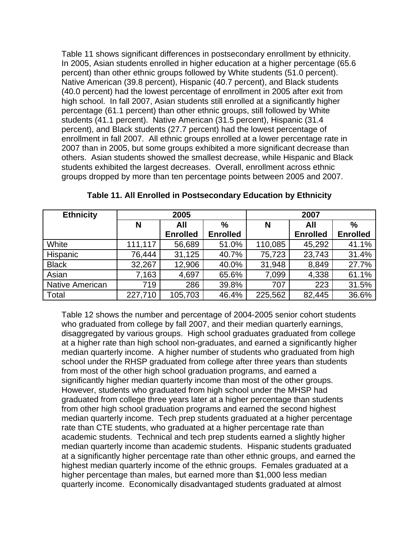Table 11 shows significant differences in postsecondary enrollment by ethnicity. In 2005, Asian students enrolled in higher education at a higher percentage (65.6 percent) than other ethnic groups followed by White students (51.0 percent). Native American (39.8 percent), Hispanic (40.7 percent), and Black students (40.0 percent) had the lowest percentage of enrollment in 2005 after exit from high school. In fall 2007, Asian students still enrolled at a significantly higher percentage (61.1 percent) than other ethnic groups, still followed by White students (41.1 percent). Native American (31.5 percent), Hispanic (31.4 percent), and Black students (27.7 percent) had the lowest percentage of enrollment in fall 2007. All ethnic groups enrolled at a lower percentage rate in 2007 than in 2005, but some groups exhibited a more significant decrease than others. Asian students showed the smallest decrease, while Hispanic and Black students exhibited the largest decreases. Overall, enrollment across ethnic groups dropped by more than ten percentage points between 2005 and 2007.

| <b>Ethnicity</b>       | 2005    |                 |                 | 2007    |                 |                 |
|------------------------|---------|-----------------|-----------------|---------|-----------------|-----------------|
|                        | N       | All             | $\%$            | N       | All             | $\frac{0}{0}$   |
|                        |         | <b>Enrolled</b> | <b>Enrolled</b> |         | <b>Enrolled</b> | <b>Enrolled</b> |
| White                  | 111,117 | 56,689          | 51.0%           | 110,085 | 45,292          | 41.1%           |
| Hispanic               | 76,444  | 31,125          | 40.7%           | 75,723  | 23,743          | 31.4%           |
| <b>Black</b>           | 32,267  | 12,906          | 40.0%           | 31,948  | 8,849           | 27.7%           |
| Asian                  | 7,163   | 4,697           | 65.6%           | 7,099   | 4,338           | 61.1%           |
| <b>Native American</b> | 719     | 286             | 39.8%           | 707     | 223             | 31.5%           |
| Total                  | 227,710 | 105,703         | 46.4%           | 225,562 | 82,445          | 36.6%           |

**Table 11. All Enrolled in Postsecondary Education by Ethnicity**

Table 12 shows the number and percentage of 2004-2005 senior cohort students who graduated from college by fall 2007, and their median quarterly earnings, disaggregated by various groups. High school graduates graduated from college at a higher rate than high school non-graduates, and earned a significantly higher median quarterly income. A higher number of students who graduated from high school under the RHSP graduated from college after three years than students from most of the other high school graduation programs, and earned a significantly higher median quarterly income than most of the other groups. However, students who graduated from high school under the MHSP had graduated from college three years later at a higher percentage than students from other high school graduation programs and earned the second highest median quarterly income. Tech prep students graduated at a higher percentage rate than CTE students, who graduated at a higher percentage rate than academic students. Technical and tech prep students earned a slightly higher median quarterly income than academic students. Hispanic students graduated at a significantly higher percentage rate than other ethnic groups, and earned the highest median quarterly income of the ethnic groups. Females graduated at a higher percentage than males, but earned more than \$1,000 less median quarterly income. Economically disadvantaged students graduated at almost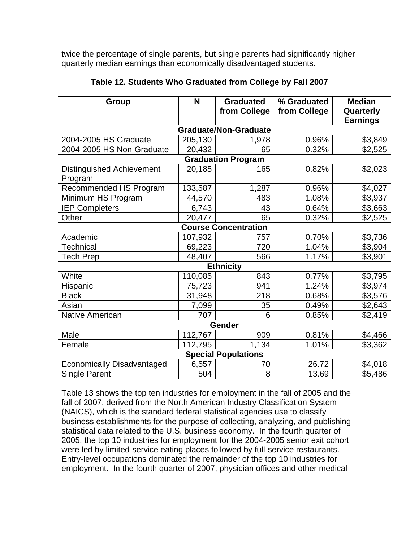twice the percentage of single parents, but single parents had significantly higher quarterly median earnings than economically disadvantaged students.

| Group                                       | N       | <b>Graduated</b><br>from College | % Graduated<br>from College | <b>Median</b><br>Quarterly<br><b>Earnings</b> |  |  |  |  |
|---------------------------------------------|---------|----------------------------------|-----------------------------|-----------------------------------------------|--|--|--|--|
| <b>Graduate/Non-Graduate</b>                |         |                                  |                             |                                               |  |  |  |  |
| 2004-2005 HS Graduate                       | 205,130 | 1,978                            | 0.96%                       | \$3,849                                       |  |  |  |  |
| 2004-2005 HS Non-Graduate                   | 20,432  | 65                               | 0.32%                       | \$2,525                                       |  |  |  |  |
|                                             |         | <b>Graduation Program</b>        |                             |                                               |  |  |  |  |
| <b>Distinguished Achievement</b><br>Program | 20,185  | 165                              | 0.82%                       | \$2,023                                       |  |  |  |  |
| Recommended HS Program                      | 133,587 | 1,287                            | 0.96%                       | \$4,027                                       |  |  |  |  |
| Minimum HS Program                          | 44,570  | 483                              | 1.08%                       | \$3,937                                       |  |  |  |  |
| <b>IEP Completers</b>                       | 6,743   | 43                               | 0.64%                       | \$3,663                                       |  |  |  |  |
| Other                                       | 20,477  | 65                               | 0.32%                       | \$2,525                                       |  |  |  |  |
|                                             |         | <b>Course Concentration</b>      |                             |                                               |  |  |  |  |
| Academic                                    | 107,932 | 757                              | 0.70%                       | \$3,736                                       |  |  |  |  |
| <b>Technical</b>                            | 69,223  | 720                              | 1.04%                       | \$3,904                                       |  |  |  |  |
| <b>Tech Prep</b>                            | 48,407  | 566                              | 1.17%                       | \$3,901                                       |  |  |  |  |
|                                             |         | <b>Ethnicity</b>                 |                             |                                               |  |  |  |  |
| White                                       | 110,085 | 843                              | 0.77%                       | \$3,795                                       |  |  |  |  |
| Hispanic                                    | 75,723  | 941                              | 1.24%                       | \$3,974                                       |  |  |  |  |
| <b>Black</b>                                | 31,948  | 218                              | 0.68%                       | \$3,576                                       |  |  |  |  |
| Asian                                       | 7,099   | 35                               | 0.49%                       | \$2,643                                       |  |  |  |  |
| <b>Native American</b>                      | 707     | 6                                | 0.85%                       | \$2,419                                       |  |  |  |  |
| Gender                                      |         |                                  |                             |                                               |  |  |  |  |
| Male                                        | 112,767 | 909                              | 0.81%                       | \$4,466                                       |  |  |  |  |
| Female                                      | 112,795 | 1,134                            | 1.01%                       | \$3,362                                       |  |  |  |  |
|                                             |         | <b>Special Populations</b>       |                             |                                               |  |  |  |  |
| <b>Economically Disadvantaged</b>           | 6,557   | 70                               | 26.72                       | \$4,018                                       |  |  |  |  |
| <b>Single Parent</b>                        | 504     | 8                                | 13.69                       | \$5,486                                       |  |  |  |  |

## **Table 12. Students Who Graduated from College by Fall 2007**

Table 13 shows the top ten industries for employment in the fall of 2005 and the fall of 2007, derived from the North American Industry Classification System (NAICS), which is the standard federal statistical agencies use to classify business establishments for the purpose of collecting, analyzing, and publishing statistical data related to the U.S. business economy. In the fourth quarter of 2005, the top 10 industries for employment for the 2004-2005 senior exit cohort were led by limited-service eating places followed by full-service restaurants. Entry-level occupations dominated the remainder of the top 10 industries for employment. In the fourth quarter of 2007, physician offices and other medical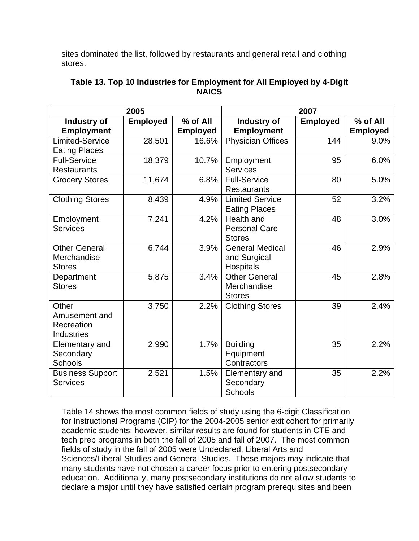sites dominated the list, followed by restaurants and general retail and clothing stores.

|                         | 2005            |                 | 2007                     |                 |                 |
|-------------------------|-----------------|-----------------|--------------------------|-----------------|-----------------|
| Industry of             | <b>Employed</b> | % of All        | Industry of              | <b>Employed</b> | % of All        |
| <b>Employment</b>       |                 | <b>Employed</b> | <b>Employment</b>        |                 | <b>Employed</b> |
| <b>Limited-Service</b>  | 28,501          | 16.6%           | <b>Physician Offices</b> | 144             | 9.0%            |
| <b>Eating Places</b>    |                 |                 |                          |                 |                 |
| <b>Full-Service</b>     | 18,379          | 10.7%           | Employment               | 95              | 6.0%            |
| <b>Restaurants</b>      |                 |                 | <b>Services</b>          |                 |                 |
| <b>Grocery Stores</b>   | 11,674          | 6.8%            | <b>Full-Service</b>      | 80              | 5.0%            |
|                         |                 |                 | <b>Restaurants</b>       |                 |                 |
| <b>Clothing Stores</b>  | 8,439           | 4.9%            | <b>Limited Service</b>   | 52              | 3.2%            |
|                         |                 |                 | <b>Eating Places</b>     |                 |                 |
| Employment              | 7,241           | 4.2%            | Health and               | 48              | 3.0%            |
| <b>Services</b>         |                 |                 | <b>Personal Care</b>     |                 |                 |
|                         |                 |                 | <b>Stores</b>            |                 |                 |
| <b>Other General</b>    | 6,744           | 3.9%            | <b>General Medical</b>   | 46              | 2.9%            |
| Merchandise             |                 |                 | and Surgical             |                 |                 |
| <b>Stores</b>           |                 |                 | Hospitals                |                 |                 |
| Department              | 5,875           | 3.4%            | <b>Other General</b>     | 45              | 2.8%            |
| <b>Stores</b>           |                 |                 | Merchandise              |                 |                 |
|                         |                 |                 | <b>Stores</b>            |                 |                 |
| Other                   | 3,750           | 2.2%            | <b>Clothing Stores</b>   | 39              | 2.4%            |
| Amusement and           |                 |                 |                          |                 |                 |
| Recreation              |                 |                 |                          |                 |                 |
| <b>Industries</b>       |                 |                 |                          |                 |                 |
| Elementary and          | 2,990           | 1.7%            | <b>Building</b>          | 35              | 2.2%            |
| Secondary               |                 |                 | Equipment                |                 |                 |
| <b>Schools</b>          |                 |                 | Contractors              |                 |                 |
| <b>Business Support</b> | 2,521           | 1.5%            | Elementary and           | 35              | 2.2%            |
| <b>Services</b>         |                 |                 | Secondary                |                 |                 |
|                         |                 |                 | <b>Schools</b>           |                 |                 |

| Table 13. Top 10 Industries for Employment for All Employed by 4-Digit |
|------------------------------------------------------------------------|
| <b>NAICS</b>                                                           |

Table 14 shows the most common fields of study using the 6-digit Classification for Instructional Programs (CIP) for the 2004-2005 senior exit cohort for primarily academic students; however, similar results are found for students in CTE and tech prep programs in both the fall of 2005 and fall of 2007. The most common fields of study in the fall of 2005 were Undeclared, Liberal Arts and Sciences/Liberal Studies and General Studies. These majors may indicate that many students have not chosen a career focus prior to entering postsecondary education. Additionally, many postsecondary institutions do not allow students to declare a major until they have satisfied certain program prerequisites and been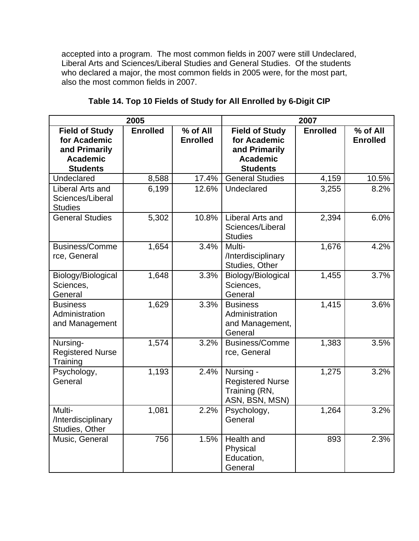accepted into a program. The most common fields in 2007 were still Undeclared, Liberal Arts and Sciences/Liberal Studies and General Studies. Of the students who declared a major, the most common fields in 2005 were, for the most part, also the most common fields in 2007.

|                                                                                              | 2005            |                             | 2007                                                                                         |                 |                             |
|----------------------------------------------------------------------------------------------|-----------------|-----------------------------|----------------------------------------------------------------------------------------------|-----------------|-----------------------------|
| <b>Field of Study</b><br>for Academic<br>and Primarily<br><b>Academic</b><br><b>Students</b> | <b>Enrolled</b> | % of All<br><b>Enrolled</b> | <b>Field of Study</b><br>for Academic<br>and Primarily<br><b>Academic</b><br><b>Students</b> | <b>Enrolled</b> | % of All<br><b>Enrolled</b> |
| Undeclared                                                                                   | 8,588           | 17.4%                       | <b>General Studies</b>                                                                       | 4,159           | 10.5%                       |
| Liberal Arts and<br>Sciences/Liberal<br><b>Studies</b>                                       | 6,199           | 12.6%                       | Undeclared                                                                                   | 3,255           | 8.2%                        |
| <b>General Studies</b>                                                                       | 5,302           | 10.8%                       | Liberal Arts and<br>Sciences/Liberal<br><b>Studies</b>                                       | 2,394           | 6.0%                        |
| <b>Business/Comme</b><br>rce, General                                                        | 1,654           | 3.4%                        | Multi-<br>/Interdisciplinary<br>Studies, Other                                               | 1,676           | 4.2%                        |
| Biology/Biological<br>Sciences,<br>General                                                   | 1,648           | 3.3%                        | Biology/Biological<br>Sciences,<br>General                                                   | 1,455           | 3.7%                        |
| <b>Business</b><br>Administration<br>and Management                                          | 1,629           | 3.3%                        | <b>Business</b><br>Administration<br>and Management,<br>General                              | 1,415           | 3.6%                        |
| Nursing-<br><b>Registered Nurse</b><br>Training                                              | 1,574           | 3.2%                        | <b>Business/Comme</b><br>rce, General                                                        | 1,383           | 3.5%                        |
| Psychology,<br>General                                                                       | 1,193           | 2.4%                        | Nursing -<br><b>Registered Nurse</b><br>Training (RN,<br>ASN, BSN, MSN)                      | 1,275           | 3.2%                        |
| Multi-<br>/Interdisciplinary<br>Studies, Other                                               | 1,081           | 2.2%                        | Psychology,<br>General                                                                       | 1,264           | 3.2%                        |
| Music, General                                                                               | 756             | 1.5%                        | Health and<br>Physical<br>Education,<br>General                                              | 893             | 2.3%                        |

**Table 14. Top 10 Fields of Study for All Enrolled by 6-Digit CIP**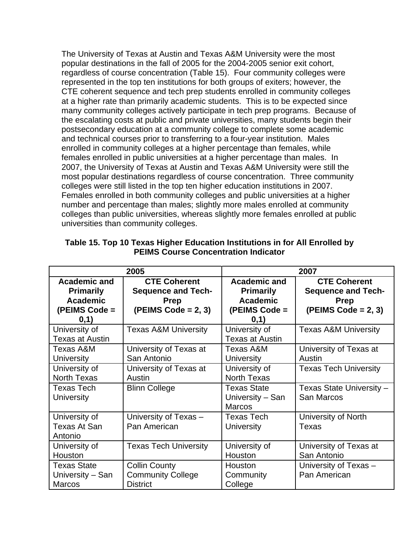The University of Texas at Austin and Texas A&M University were the most popular destinations in the fall of 2005 for the 2004-2005 senior exit cohort, regardless of course concentration (Table 15). Four community colleges were represented in the top ten institutions for both groups of exiters; however, the CTE coherent sequence and tech prep students enrolled in community colleges at a higher rate than primarily academic students. This is to be expected since many community colleges actively participate in tech prep programs. Because of the escalating costs at public and private universities, many students begin their postsecondary education at a community college to complete some academic and technical courses prior to transferring to a four-year institution. Males enrolled in community colleges at a higher percentage than females, while females enrolled in public universities at a higher percentage than males. In 2007, the University of Texas at Austin and Texas A&M University were still the most popular destinations regardless of course concentration. Three community colleges were still listed in the top ten higher education institutions in 2007. Females enrolled in both community colleges and public universities at a higher number and percentage than males; slightly more males enrolled at community colleges than public universities, whereas slightly more females enrolled at public universities than community colleges.

|                                                                                     | 2005                                                                                     | 2007                                                                                |                                                                                          |  |
|-------------------------------------------------------------------------------------|------------------------------------------------------------------------------------------|-------------------------------------------------------------------------------------|------------------------------------------------------------------------------------------|--|
| <b>Academic and</b><br><b>Primarily</b><br><b>Academic</b><br>(PEIMS Code =<br>0,1) | <b>CTE Coherent</b><br><b>Sequence and Tech-</b><br><b>Prep</b><br>$(PEIMS Code = 2, 3)$ | <b>Academic and</b><br><b>Primarily</b><br><b>Academic</b><br>(PEIMS Code =<br>0,1) | <b>CTE Coherent</b><br><b>Sequence and Tech-</b><br><b>Prep</b><br>$(PEIMS Code = 2, 3)$ |  |
| University of<br>Texas at Austin                                                    | <b>Texas A&amp;M University</b>                                                          | University of<br><b>Texas at Austin</b>                                             | <b>Texas A&amp;M University</b>                                                          |  |
| Texas A&M<br><b>University</b>                                                      | University of Texas at<br>San Antonio                                                    | Texas A&M<br><b>University</b>                                                      | University of Texas at<br>Austin                                                         |  |
| University of<br><b>North Texas</b>                                                 | University of Texas at<br>Austin                                                         | University of<br><b>North Texas</b>                                                 | <b>Texas Tech University</b>                                                             |  |
| <b>Texas Tech</b><br><b>University</b>                                              | <b>Blinn College</b>                                                                     | <b>Texas State</b><br>University - San<br><b>Marcos</b>                             | Texas State University -<br>San Marcos                                                   |  |
| University of<br><b>Texas At San</b><br>Antonio                                     | University of Texas -<br>Pan American                                                    | <b>Texas Tech</b><br><b>University</b>                                              | University of North<br>Texas                                                             |  |
| University of<br>Houston                                                            | <b>Texas Tech University</b>                                                             | University of<br>Houston                                                            | University of Texas at<br>San Antonio                                                    |  |
| <b>Texas State</b><br>University – San<br><b>Marcos</b>                             | <b>Collin County</b><br><b>Community College</b><br><b>District</b>                      | Houston<br>Community<br>College                                                     | University of Texas -<br>Pan American                                                    |  |

**Table 15. Top 10 Texas Higher Education Institutions in for All Enrolled by PEIMS Course Concentration Indicator**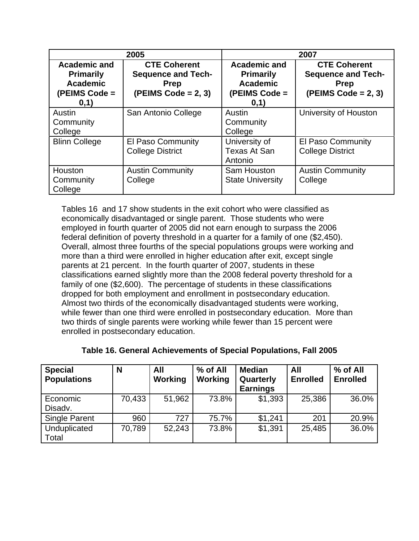|                                                                                     | 2005                                                                                     | 2007                                                                                |                                                                                           |  |
|-------------------------------------------------------------------------------------|------------------------------------------------------------------------------------------|-------------------------------------------------------------------------------------|-------------------------------------------------------------------------------------------|--|
| <b>Academic and</b><br><b>Primarily</b><br><b>Academic</b><br>(PEIMS Code =<br>0,1) | <b>CTE Coherent</b><br><b>Sequence and Tech-</b><br><b>Prep</b><br>$(PEIMS Code = 2, 3)$ | <b>Academic and</b><br><b>Primarily</b><br><b>Academic</b><br>(PEIMS Code =<br>0,1) | <b>CTE Coherent</b><br><b>Sequence and Tech-</b><br><b>Prep</b><br>(PEIMS Code = $2, 3$ ) |  |
| Austin<br>Community<br>College                                                      | San Antonio College                                                                      | Austin<br>Community<br>College                                                      | University of Houston                                                                     |  |
| <b>Blinn College</b>                                                                | El Paso Community<br><b>College District</b>                                             | University of<br>Texas At San<br>Antonio                                            | El Paso Community<br><b>College District</b>                                              |  |
| Houston<br>Community<br>College                                                     | <b>Austin Community</b><br>College                                                       | Sam Houston<br><b>State University</b>                                              | <b>Austin Community</b><br>College                                                        |  |

Tables 16 and 17 show students in the exit cohort who were classified as economically disadvantaged or single parent. Those students who were employed in fourth quarter of 2005 did not earn enough to surpass the 2006 federal definition of poverty threshold in a quarter for a family of one (\$2,450). Overall, almost three fourths of the special populations groups were working and more than a third were enrolled in higher education after exit, except single parents at 21 percent. In the fourth quarter of 2007, students in these classifications earned slightly more than the 2008 federal poverty threshold for a family of one (\$2,600). The percentage of students in these classifications dropped for both employment and enrollment in postsecondary education. Almost two thirds of the economically disadvantaged students were working, while fewer than one third were enrolled in postsecondary education. More than two thirds of single parents were working while fewer than 15 percent were enrolled in postsecondary education.

| <b>Special</b>        | N      | All            | % of All       | <b>Median</b>                | All             | % of All        |
|-----------------------|--------|----------------|----------------|------------------------------|-----------------|-----------------|
| <b>Populations</b>    |        | <b>Working</b> | <b>Working</b> | Quarterly<br><b>Earnings</b> | <b>Enrolled</b> | <b>Enrolled</b> |
| Economic<br>Disadv.   | 70,433 | 51,962         | 73.8%          | \$1,393                      | 25,386          | 36.0%           |
| <b>Single Parent</b>  | 960    | 727            | 75.7%          | \$1,241                      | 201             | 20.9%           |
| Unduplicated<br>Total | 70,789 | 52,243         | 73.8%          | \$1,391                      | 25,485          | 36.0%           |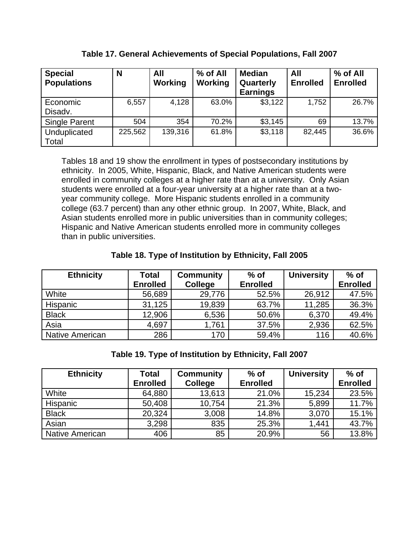| <b>Special</b><br><b>Populations</b> | N       | All<br><b>Working</b> | % of All<br><b>Working</b> | <b>Median</b><br>Quarterly<br><b>Earnings</b> | All<br><b>Enrolled</b> | % of All<br><b>Enrolled</b> |
|--------------------------------------|---------|-----------------------|----------------------------|-----------------------------------------------|------------------------|-----------------------------|
| Economic<br>Disadv.                  | 6,557   | 4,128                 | 63.0%                      | \$3,122                                       | 1,752                  | 26.7%                       |
| <b>Single Parent</b>                 | 504     | 354                   | 70.2%                      | \$3,145                                       | 69                     | 13.7%                       |
| Unduplicated<br>Total                | 225,562 | 139,316               | 61.8%                      | \$3,118                                       | 82,445                 | 36.6%                       |

**Table 17. General Achievements of Special Populations, Fall 2007**

Tables 18 and 19 show the enrollment in types of postsecondary institutions by ethnicity. In 2005, White, Hispanic, Black, and Native American students were enrolled in community colleges at a higher rate than at a university. Only Asian students were enrolled at a four-year university at a higher rate than at a twoyear community college. More Hispanic students enrolled in a community college (63.7 percent) than any other ethnic group. In 2007, White, Black, and Asian students enrolled more in public universities than in community colleges; Hispanic and Native American students enrolled more in community colleges than in public universities.

## **Table 18. Type of Institution by Ethnicity, Fall 2005**

| <b>Ethnicity</b> | <b>Total</b>    | <b>Community</b> | $%$ of          | <b>University</b> | $%$ of          |
|------------------|-----------------|------------------|-----------------|-------------------|-----------------|
|                  | <b>Enrolled</b> | College          | <b>Enrolled</b> |                   | <b>Enrolled</b> |
| White            | 56,689          | 29,776           | 52.5%           | 26,912            | 47.5%           |
| Hispanic         | 31,125          | 19,839           | 63.7%           | 11,285            | 36.3%           |
| <b>Black</b>     | 12,906          | 6,536            | 50.6%           | 6,370             | 49.4%           |
| Asia             | 4,697           | 1,761            | 37.5%           | 2,936             | 62.5%           |
| Native American  | 286             | 170              | 59.4%           | 116               | 40.6%           |

**Table 19. Type of Institution by Ethnicity, Fall 2007**

| <b>Ethnicity</b> | <b>Total</b>    | <b>Community</b> | $%$ of          | <b>University</b> | $%$ of          |
|------------------|-----------------|------------------|-----------------|-------------------|-----------------|
|                  | <b>Enrolled</b> | College          | <b>Enrolled</b> |                   | <b>Enrolled</b> |
| White            | 64,880          | 13,613           | 21.0%           | 15,234            | 23.5%           |
| Hispanic         | 50,408          | 10,754           | 21.3%           | 5,899             | 11.7%           |
| <b>Black</b>     | 20,324          | 3,008            | 14.8%           | 3,070             | 15.1%           |
| Asian            | 3,298           | 835              | 25.3%           | 1,441             | 43.7%           |
| Native American  | 406             | 85               | 20.9%           | 56                | 13.8%           |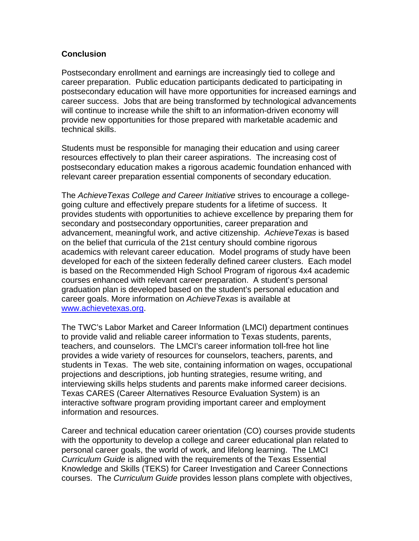### **Conclusion**

Postsecondary enrollment and earnings are increasingly tied to college and career preparation. Public education participants dedicated to participating in postsecondary education will have more opportunities for increased earnings and career success. Jobs that are being transformed by technological advancements will continue to increase while the shift to an information-driven economy will provide new opportunities for those prepared with marketable academic and technical skills.

Students must be responsible for managing their education and using career resources effectively to plan their career aspirations. The increasing cost of postsecondary education makes a rigorous academic foundation enhanced with relevant career preparation essential components of secondary education.

The *AchieveTexas College and Career Initiative* strives to encourage a collegegoing culture and effectively prepare students for a lifetime of success. It provides students with opportunities to achieve excellence by preparing them for secondary and postsecondary opportunities, career preparation and advancement, meaningful work, and active citizenship. *AchieveTexas* is based on the belief that curricula of the 21st century should combine rigorous academics with relevant career education. Model programs of study have been developed for each of the sixteen federally defined career clusters. Each model is based on the Recommended High School Program of rigorous 4x4 academic courses enhanced with relevant career preparation. A student's personal graduation plan is developed based on the student's personal education and career goals. More information on *AchieveTexas* is available at [www.achievetexas.org](http://www.achievetexas.org/).

The TWC's Labor Market and Career Information (LMCI) department continues to provide valid and reliable career information to Texas students, parents, teachers, and counselors. The LMCI's career information toll-free hot line provides a wide variety of resources for counselors, teachers, parents, and students in Texas. The web site, containing information on wages, occupational projections and descriptions, job hunting strategies, resume writing, and interviewing skills helps students and parents make informed career decisions. Texas CARES (Career Alternatives Resource Evaluation System) is an interactive software program providing important career and employment information and resources.

Career and technical education career orientation (CO) courses provide students with the opportunity to develop a college and career educational plan related to personal career goals, the world of work, and lifelong learning. The LMCI *Curriculum Guide* is aligned with the requirements of the Texas Essential Knowledge and Skills (TEKS) for Career Investigation and Career Connections courses. The *Curriculum Guide* provides lesson plans complete with objectives,